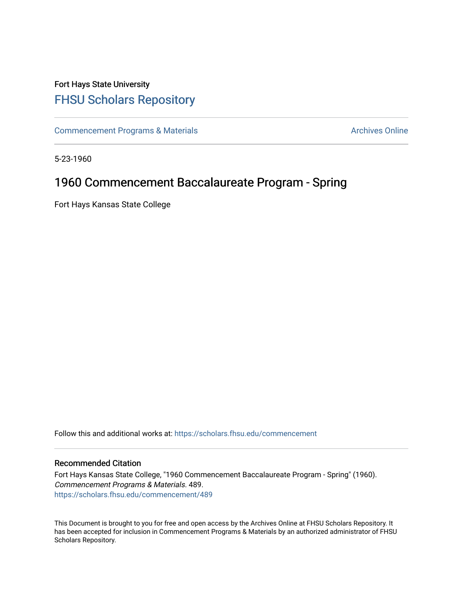## Fort Hays State University [FHSU Scholars Repository](https://scholars.fhsu.edu/)

[Commencement Programs & Materials](https://scholars.fhsu.edu/commencement) **Archives Online** Archives Online

5-23-1960

## 1960 Commencement Baccalaureate Program - Spring

Fort Hays Kansas State College

Follow this and additional works at: [https://scholars.fhsu.edu/commencement](https://scholars.fhsu.edu/commencement?utm_source=scholars.fhsu.edu%2Fcommencement%2F489&utm_medium=PDF&utm_campaign=PDFCoverPages)

## Recommended Citation

Fort Hays Kansas State College, "1960 Commencement Baccalaureate Program - Spring" (1960). Commencement Programs & Materials. 489. [https://scholars.fhsu.edu/commencement/489](https://scholars.fhsu.edu/commencement/489?utm_source=scholars.fhsu.edu%2Fcommencement%2F489&utm_medium=PDF&utm_campaign=PDFCoverPages)

This Document is brought to you for free and open access by the Archives Online at FHSU Scholars Repository. It has been accepted for inclusion in Commencement Programs & Materials by an authorized administrator of FHSU Scholars Repository.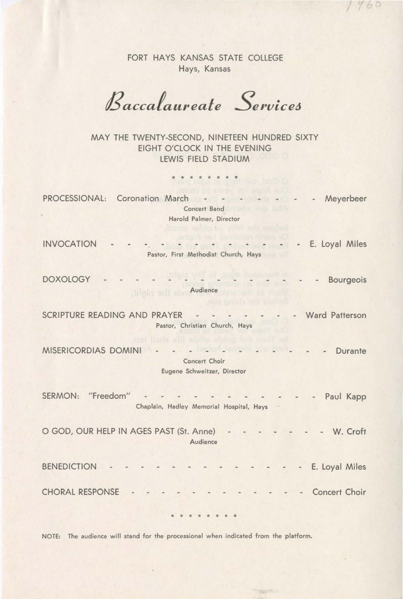FORT HAYS KANSAS STATE COLLEGE Hays, Kansas

*l* 

 $\beta$ accalaureate Services

MAY THE TWENTY-SECOND, NINETEEN HUNDRED SIXTY EIGHT O'CLOCK IN THE EVENING LEWIS FIELD STADIUM

\* \* \* \* \* \*

PROCESSIONAL: Coronation March Concert Band Harold Palmer, Director - Meyerbeer

INVOCATION - E. Loyal Miles  $-$ Pastor, First Methodist Church, Hays

**A MARIA AND A MARINE** DOXOLOGY - - Bourgeois Audience

SCRIPTURE READING AND PRAYER Ward Patterson  $\frac{1}{2} \left( \frac{1}{2} \right) \frac{1}{2} \left( \frac{1}{2} \right) \frac{1}{2} \left( \frac{1}{2} \right) \frac{1}{2} \left( \frac{1}{2} \right) \frac{1}{2} \left( \frac{1}{2} \right) \frac{1}{2} \left( \frac{1}{2} \right) \frac{1}{2} \left( \frac{1}{2} \right) \frac{1}{2} \left( \frac{1}{2} \right) \frac{1}{2} \left( \frac{1}{2} \right) \frac{1}{2} \left( \frac{1}{2} \right) \frac{1}{2} \left( \frac{1}{2} \right)$ Pastor, Christian Church, Hays

MISERICORDIAS DOMINI - - - - - - -Concert Choir Eugene Schweitzer, Director - Durante

SERMON: "Freedom" - - - - $\sim$   $\sim$   $\sim$ - - Paul Kapp Chaplain, Hadley Memorial Hospital, Hays

0 GOD, OUR HELP IN AGES PAST (St. Anne) Audience - W. Croft

BENEDICTION E. Loyal Miles

- - Concert Choir

\*\*\*\*\*\*\*\*

NOTE: The audience will stand for the processional when indicated from the platform.

CHORAL RESPONSE